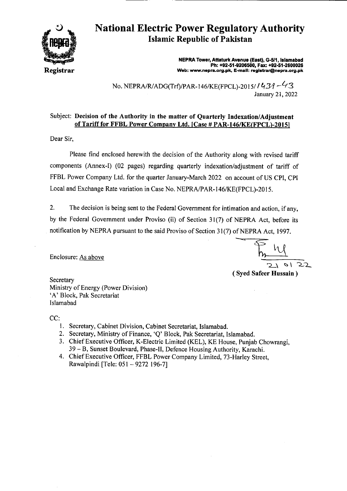

## **National Electric Power Regulatory Authority Islamic Republic of Pakistan**

**NEPRA Tower, Attaturk Avenue (East), G-511, Islamabad Ph: +92-51-9206500, Fax: +92.51-2600026 Web: www.nepra.org.pk, E-mail: reglstrar@nepra.org.pk** 

No. NEPRA/RJADG(Trf)/PAR- 146/KE(FPCL)-20 15/ / *(3*  January 21, 2022

## Subject: **Decision of the** Authority in **the matter** of Quarterly Indexation/Adjustment of Tariff for **FFBL** Power Company **Ltd. [Case # PAR**-1461KE(FPCL)-20151

Dear Sir,

Please find enclosed herewith the decision of the Authority along with revised tariff components (Annex-I) (02 pages) regarding quarterly indexation/adjustment of tariff of FFBL Power Company Ltd. for the quarter January-March 2022 on account of US CPI, CPI Local and Exchange Rate variation in Case No. NEPRA/PAR- I 46/KE(FPCL)-20 15.

2. The decision is being sent to the Federal Government for intimation and action, if any, by the Federal Government under Proviso (ii) of Section 31(7) of NEPRA Act, before its notification by NEPRA pursuant to the said Proviso of Section 3 1(7) of NEPRA Act, 1997.

Enclosure: As above

 $\sqrt{22}$ 

(Syed Safeer Hussain)

**Secretary** Ministry of Energy (Power Division) 'A' Block, Pak Secretariat Islamabad

CC:

- 1. Secretary, Cabinet Division, Cabinet Secretariat, Islamabad.
- 2. Secretary, Ministry of Finance, *'Q'* Block, Pak Secretariat, Islamabad.
- 3. Chief Executive Officer, K-Electric Limited (KEL), KE House, Punjab Chowrangi, 39 — B, Sunset Boulevard, Phase-Il, Defence Housing Authority, Karachi.
- 4. Chief Executive Officer, FFBL Power Company Limited, 73-Harley Street, Rawalpindi [Tele: 051 —9272 196-7]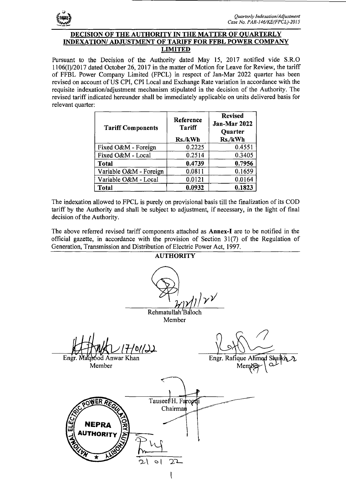

## **DECISION OF THE AUTHORITY IN THE MATTER OF OUARTERLY INDEXATION/ ADJUSTMENT OF TARIFF FOR FFBL POWER COMPANY LIMITED**

Pursuant to the Decision of the Authority dated May 15, 2017 notified vide S.R.O 1106(1)/2017 dated October 26, 2017 in the matter of Motion for Leave for Review, the tariff of FFBL Power Company Limited (FPCL) in respect of Jan-Mar 2022 quarter has been revised on account of US CPI, CPI Local and Exchange Rate variation in accordance with the requisite indexation/adjustment mechanism stipulated in the decision of the Authority. The revised tariff indicated hereunder shall be immediately applicable on units delivered basis for relevant quarter:

| <b>Tariff Components</b> | Reference<br><b>Tariff</b><br>Rs./kWh | <b>Revised</b><br>Jan-Mar 2022<br><b>Quarter</b><br>Rs./kWh |
|--------------------------|---------------------------------------|-------------------------------------------------------------|
| Fixed O&M - Foreign      | 0.2225                                | 0.4551                                                      |
| Fixed O&M - Local        | 0.2514                                | 0.3405                                                      |
| <b>Total</b>             | 0.4739                                | 0.7956                                                      |
| Variable O&M - Foreign   | 0.0811                                | 0.1659                                                      |
| Variable O&M - Local     | 0.0121                                | 0.0164                                                      |
| Total                    | 0.0932                                | 0.1823                                                      |

The indexation allowed to FPCL is purely on provisional basis till the finalization of its COD tariff by the Authority and shall be subject to adjustment, if necessary, in the light of final decision of the Authority.

The above referred revised tariff components attached as Annex-I are to be notified in the official gazette, in accordance with the provision of Section 31(7) of the Regulation of Generation, Transmission and Distribution of Electric Power Act, 1997.

**AUTHORITY**  $\int_{1}^1 \sqrt{1} \sqrt{y^2}$ 

Rehmatullah <sup>B</sup>aloch

Member

*I1off* 

Engr. Maqsood Anwar Khan Member

Engr. Rafique Ahmed Me